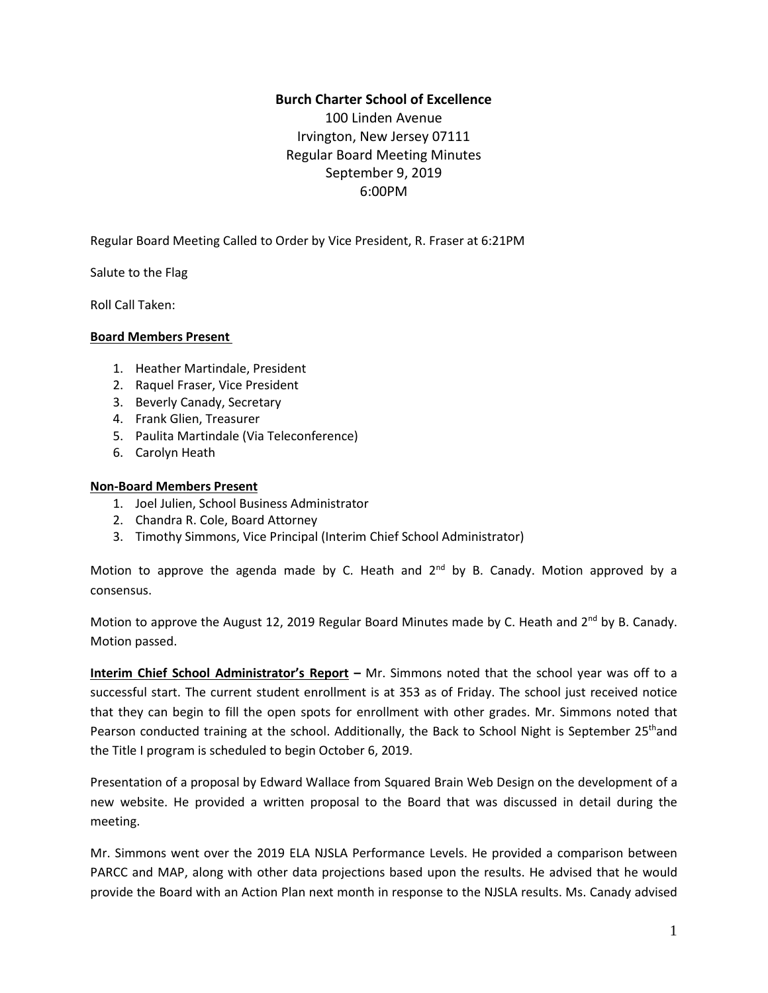## **Burch Charter School of Excellence**

100 Linden Avenue Irvington, New Jersey 07111 Regular Board Meeting Minutes September 9, 2019 6:00PM

Regular Board Meeting Called to Order by Vice President, R. Fraser at 6:21PM

Salute to the Flag

Roll Call Taken:

### **Board Members Present**

- 1. Heather Martindale, President
- 2. Raquel Fraser, Vice President
- 3. Beverly Canady, Secretary
- 4. Frank Glien, Treasurer
- 5. Paulita Martindale (Via Teleconference)
- 6. Carolyn Heath

### **Non-Board Members Present**

- 1. Joel Julien, School Business Administrator
- 2. Chandra R. Cole, Board Attorney
- 3. Timothy Simmons, Vice Principal (Interim Chief School Administrator)

Motion to approve the agenda made by C. Heath and 2<sup>nd</sup> by B. Canady. Motion approved by a consensus.

Motion to approve the August 12, 2019 Regular Board Minutes made by C. Heath and 2<sup>nd</sup> by B. Canady. Motion passed.

**Interim Chief School Administrator's Report –** Mr. Simmons noted that the school year was off to a successful start. The current student enrollment is at 353 as of Friday. The school just received notice that they can begin to fill the open spots for enrollment with other grades. Mr. Simmons noted that Pearson conducted training at the school. Additionally, the Back to School Night is September 25<sup>th</sup>and the Title I program is scheduled to begin October 6, 2019.

Presentation of a proposal by Edward Wallace from Squared Brain Web Design on the development of a new website. He provided a written proposal to the Board that was discussed in detail during the meeting.

Mr. Simmons went over the 2019 ELA NJSLA Performance Levels. He provided a comparison between PARCC and MAP, along with other data projections based upon the results. He advised that he would provide the Board with an Action Plan next month in response to the NJSLA results. Ms. Canady advised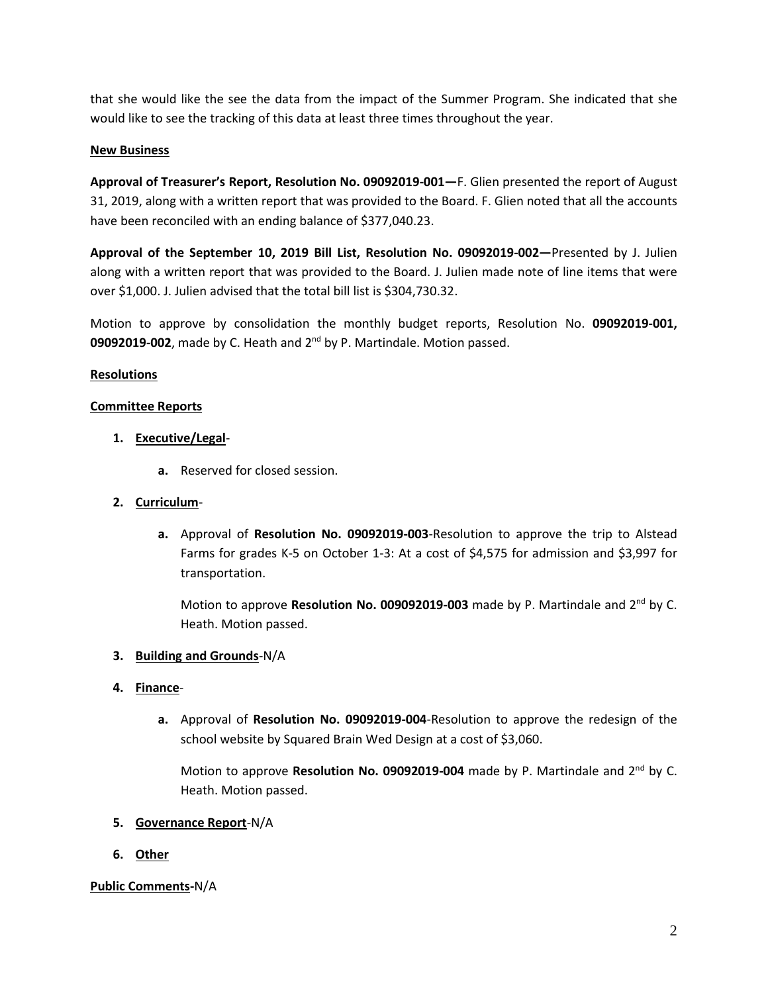that she would like the see the data from the impact of the Summer Program. She indicated that she would like to see the tracking of this data at least three times throughout the year.

## **New Business**

**Approval of Treasurer's Report, Resolution No. 09092019-001—**F. Glien presented the report of August 31, 2019, along with a written report that was provided to the Board. F. Glien noted that all the accounts have been reconciled with an ending balance of \$377,040.23.

**Approval of the September 10, 2019 Bill List, Resolution No. 09092019-002—**Presented by J. Julien along with a written report that was provided to the Board. J. Julien made note of line items that were over \$1,000. J. Julien advised that the total bill list is \$304,730.32.

Motion to approve by consolidation the monthly budget reports, Resolution No. **09092019-001,** 09092019-002, made by C. Heath and 2<sup>nd</sup> by P. Martindale. Motion passed.

## **Resolutions**

## **Committee Reports**

# **1. Executive/Legal**-

**a.** Reserved for closed session.

### **2. Curriculum**-

**a.** Approval of **Resolution No. 09092019-003**-Resolution to approve the trip to Alstead Farms for grades K-5 on October 1-3: At a cost of \$4,575 for admission and \$3,997 for transportation.

Motion to approve Resolution No. 009092019-003 made by P. Martindale and 2<sup>nd</sup> by C. Heath. Motion passed.

### **3. Building and Grounds**-N/A

### **4. Finance**-

**a.** Approval of **Resolution No. 09092019-004**-Resolution to approve the redesign of the school website by Squared Brain Wed Design at a cost of \$3,060.

Motion to approve Resolution No. 09092019-004 made by P. Martindale and 2<sup>nd</sup> by C. Heath. Motion passed.

### **5. Governance Report**-N/A

**6. Other**

### **Public Comments-**N/A